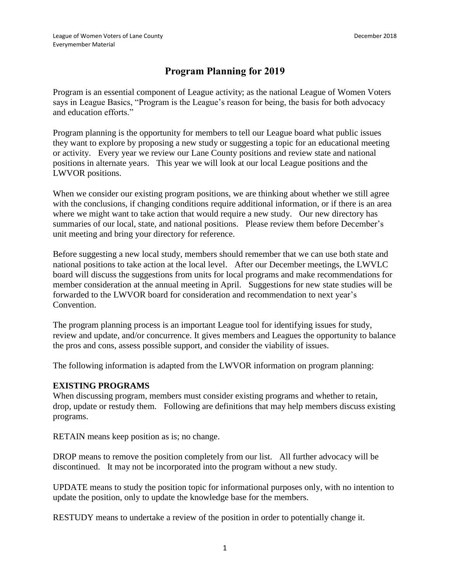## **Program Planning for 2019**

Program is an essential component of League activity; as the national League of Women Voters says in League Basics, "Program is the League's reason for being, the basis for both advocacy and education efforts."

Program planning is the opportunity for members to tell our League board what public issues they want to explore by proposing a new study or suggesting a topic for an educational meeting or activity. Every year we review our Lane County positions and review state and national positions in alternate years. This year we will look at our local League positions and the LWVOR positions.

When we consider our existing program positions, we are thinking about whether we still agree with the conclusions, if changing conditions require additional information, or if there is an area where we might want to take action that would require a new study. Our new directory has summaries of our local, state, and national positions. Please review them before December's unit meeting and bring your directory for reference.

Before suggesting a new local study, members should remember that we can use both state and national positions to take action at the local level. After our December meetings, the LWVLC board will discuss the suggestions from units for local programs and make recommendations for member consideration at the annual meeting in April. Suggestions for new state studies will be forwarded to the LWVOR board for consideration and recommendation to next year's Convention.

The program planning process is an important League tool for identifying issues for study, review and update, and/or concurrence. It gives members and Leagues the opportunity to balance the pros and cons, assess possible support, and consider the viability of issues.

The following information is adapted from the LWVOR information on program planning:

## **EXISTING PROGRAMS**

When discussing program, members must consider existing programs and whether to retain, drop, update or restudy them. Following are definitions that may help members discuss existing programs.

RETAIN means keep position as is; no change.

DROP means to remove the position completely from our list. All further advocacy will be discontinued. It may not be incorporated into the program without a new study.

UPDATE means to study the position topic for informational purposes only, with no intention to update the position, only to update the knowledge base for the members.

RESTUDY means to undertake a review of the position in order to potentially change it.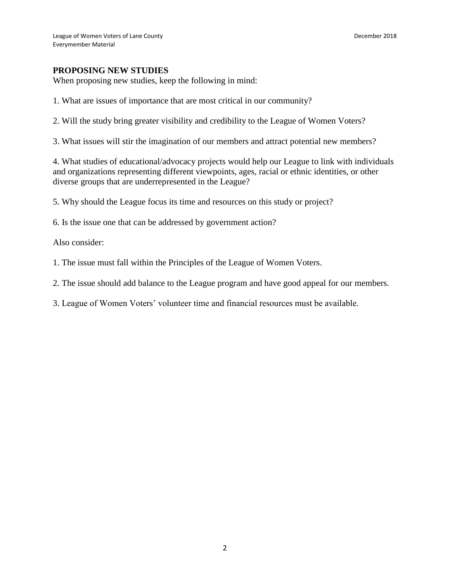## **PROPOSING NEW STUDIES**

When proposing new studies, keep the following in mind:

1. What are issues of importance that are most critical in our community?

2. Will the study bring greater visibility and credibility to the League of Women Voters?

3. What issues will stir the imagination of our members and attract potential new members?

4. What studies of educational/advocacy projects would help our League to link with individuals and organizations representing different viewpoints, ages, racial or ethnic identities, or other diverse groups that are underrepresented in the League?

5. Why should the League focus its time and resources on this study or project?

6. Is the issue one that can be addressed by government action?

Also consider:

1. The issue must fall within the Principles of the League of Women Voters.

2. The issue should add balance to the League program and have good appeal for our members.

3. League of Women Voters' volunteer time and financial resources must be available.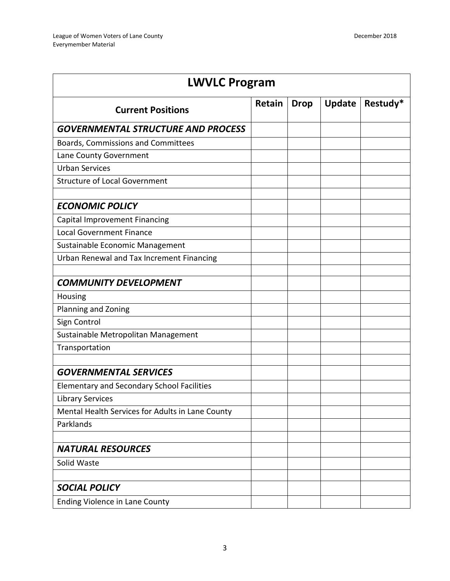| <b>LWVLC Program</b>                              |        |             |               |          |  |
|---------------------------------------------------|--------|-------------|---------------|----------|--|
| <b>Current Positions</b>                          | Retain | <b>Drop</b> | <b>Update</b> | Restudy* |  |
| <b>GOVERNMENTAL STRUCTURE AND PROCESS</b>         |        |             |               |          |  |
| Boards, Commissions and Committees                |        |             |               |          |  |
| Lane County Government                            |        |             |               |          |  |
| <b>Urban Services</b>                             |        |             |               |          |  |
| <b>Structure of Local Government</b>              |        |             |               |          |  |
| <b>ECONOMIC POLICY</b>                            |        |             |               |          |  |
| Capital Improvement Financing                     |        |             |               |          |  |
| <b>Local Government Finance</b>                   |        |             |               |          |  |
| Sustainable Economic Management                   |        |             |               |          |  |
| Urban Renewal and Tax Increment Financing         |        |             |               |          |  |
| <b>COMMUNITY DEVELOPMENT</b>                      |        |             |               |          |  |
| Housing                                           |        |             |               |          |  |
| Planning and Zoning                               |        |             |               |          |  |
| Sign Control                                      |        |             |               |          |  |
| Sustainable Metropolitan Management               |        |             |               |          |  |
| Transportation                                    |        |             |               |          |  |
| <b>GOVERNMENTAL SERVICES</b>                      |        |             |               |          |  |
| <b>Elementary and Secondary School Facilities</b> |        |             |               |          |  |
| <b>Library Services</b>                           |        |             |               |          |  |
| Mental Health Services for Adults in Lane County  |        |             |               |          |  |
| Parklands                                         |        |             |               |          |  |
|                                                   |        |             |               |          |  |
| <b>NATURAL RESOURCES</b>                          |        |             |               |          |  |
| Solid Waste                                       |        |             |               |          |  |
| <b>SOCIAL POLICY</b>                              |        |             |               |          |  |
| Ending Violence in Lane County                    |        |             |               |          |  |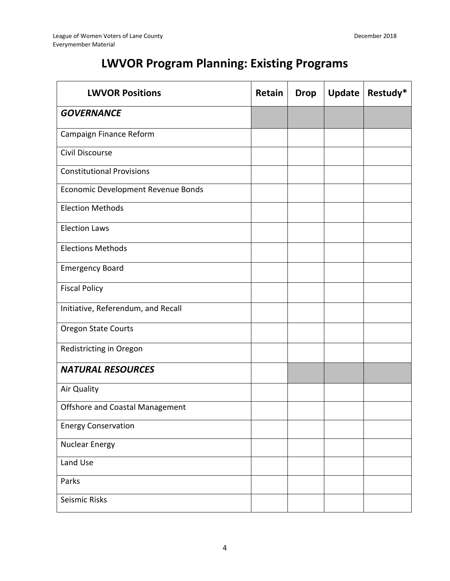## **LWVOR Program Planning: Existing Programs**

| <b>LWVOR Positions</b>             | Retain | <b>Drop</b> | Update | Restudy* |
|------------------------------------|--------|-------------|--------|----------|
| <b>GOVERNANCE</b>                  |        |             |        |          |
| Campaign Finance Reform            |        |             |        |          |
| Civil Discourse                    |        |             |        |          |
| <b>Constitutional Provisions</b>   |        |             |        |          |
| Economic Development Revenue Bonds |        |             |        |          |
| <b>Election Methods</b>            |        |             |        |          |
| <b>Election Laws</b>               |        |             |        |          |
| <b>Elections Methods</b>           |        |             |        |          |
| <b>Emergency Board</b>             |        |             |        |          |
| <b>Fiscal Policy</b>               |        |             |        |          |
| Initiative, Referendum, and Recall |        |             |        |          |
| <b>Oregon State Courts</b>         |        |             |        |          |
| Redistricting in Oregon            |        |             |        |          |
| <b>NATURAL RESOURCES</b>           |        |             |        |          |
| Air Quality                        |        |             |        |          |
| Offshore and Coastal Management    |        |             |        |          |
| <b>Energy Conservation</b>         |        |             |        |          |
| <b>Nuclear Energy</b>              |        |             |        |          |
| Land Use                           |        |             |        |          |
| Parks                              |        |             |        |          |
| Seismic Risks                      |        |             |        |          |